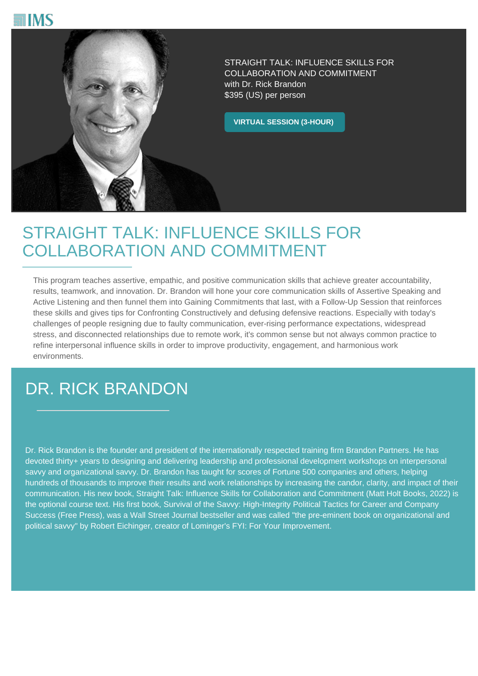



STRAIGHT TALK: INFLUENCE SKILLS FOR COLLABORATION AND COMMITMENT with Dr. Rick Brandon \$395 (US) per person

**VIRTUAL SESSION (3-HOUR)**

## STRAIGHT TALK: INFLUENCE SKILLS FOR COLLABORATION AND COMMITMENT

This program teaches assertive, empathic, and positive communication skills that achieve greater accountability, results, teamwork, and innovation. Dr. Brandon will hone your core communication skills of Assertive Speaking and Active Listening and then funnel them into Gaining Commitments that last, with a Follow-Up Session that reinforces these skills and gives tips for Confronting Constructively and defusing defensive reactions. Especially with today's challenges of people resigning due to faulty communication, ever-rising performance expectations, widespread stress, and disconnected relationships due to remote work, it's common sense but not always common practice to refine interpersonal influence skills in order to improve productivity, engagement, and harmonious work environments.

# DR. RICK BRANDON

Dr. Rick Brandon is the founder and president of the internationally respected training firm Brandon Partners. He has devoted thirty+ years to designing and delivering leadership and professional development workshops on interpersonal savvy and organizational savvy. Dr. Brandon has taught for scores of Fortune 500 companies and others, helping hundreds of thousands to improve their results and work relationships by increasing the candor, clarity, and impact of their communication. His new book, Straight Talk: Influence Skills for Collaboration and Commitment (Matt Holt Books, 2022) is the optional course text. His first book, Survival of the Savvy: High-Integrity Political Tactics for Career and Company Success (Free Press), was a Wall Street Journal bestseller and was called "the pre-eminent book on organizational and political savvy" by Robert Eichinger, creator of Lominger's FYI: For Your Improvement.